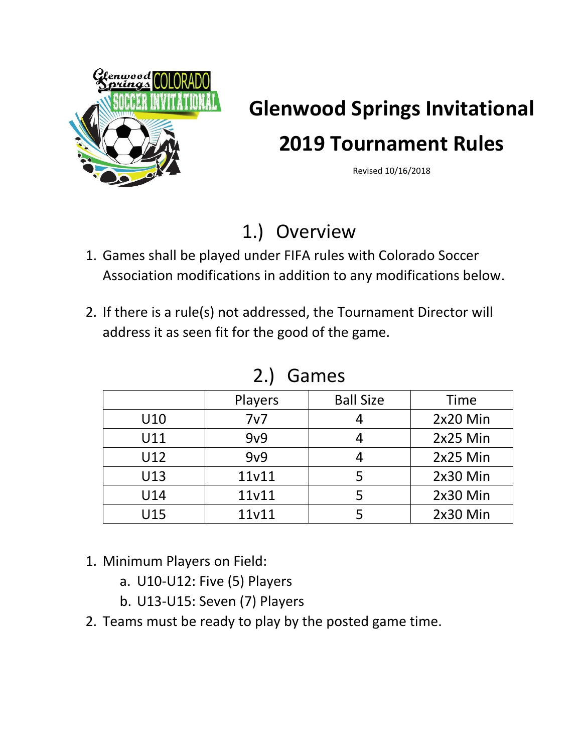

### **Glenwood Springs Invitational**

# **2019 Tournament Rules**

Revised 10/16/2018

### 1.) Overview

- 1. Games shall be played under FIFA rules with Colorado Soccer Association modifications in addition to any modifications below.
- 2. If there is a rule(s) not addressed, the Tournament Director will address it as seen fit for the good of the game.

|     | Players | <b>Ball Size</b> | <b>Time</b> |
|-----|---------|------------------|-------------|
| U10 | 7v7     |                  | 2x20 Min    |
| U11 | 9v9     |                  | 2x25 Min    |
| U12 | 9v9     |                  | 2x25 Min    |
| U13 | 11v11   |                  | 2x30 Min    |
| U14 | 11v11   |                  | 2x30 Min    |
| U15 | 11v11   |                  | $2x30$ Min  |

#### 2.) Games

- 1. Minimum Players on Field:
	- a. U10-U12: Five (5) Players
	- b. U13-U15: Seven (7) Players
- 2. Teams must be ready to play by the posted game time.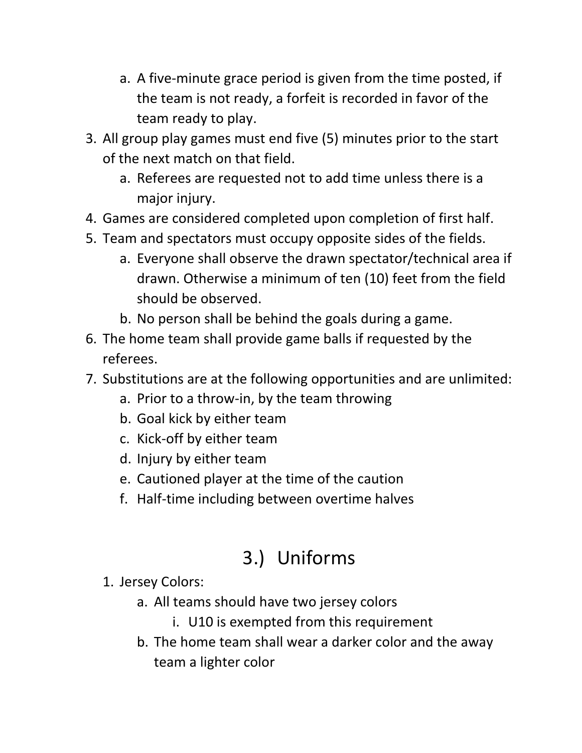- a. A five-minute grace period is given from the time posted, if the team is not ready, a forfeit is recorded in favor of the team ready to play.
- 3. All group play games must end five (5) minutes prior to the start of the next match on that field.
	- a. Referees are requested not to add time unless there is a major injury.
- 4. Games are considered completed upon completion of first half.
- 5. Team and spectators must occupy opposite sides of the fields.
	- a. Everyone shall observe the drawn spectator/technical area if drawn. Otherwise a minimum of ten (10) feet from the field should be observed.
	- b. No person shall be behind the goals during a game.
- 6. The home team shall provide game balls if requested by the referees.
- 7. Substitutions are at the following opportunities and are unlimited:
	- a. Prior to a throw-in, by the team throwing
	- b. Goal kick by either team
	- c. Kick-off by either team
	- d. Injury by either team
	- e. Cautioned player at the time of the caution
	- f. Half-time including between overtime halves

## 3.) Uniforms

- 1. Jersey Colors:
	- a. All teams should have two jersey colors
		- i. U10 is exempted from this requirement
	- b. The home team shall wear a darker color and the away team a lighter color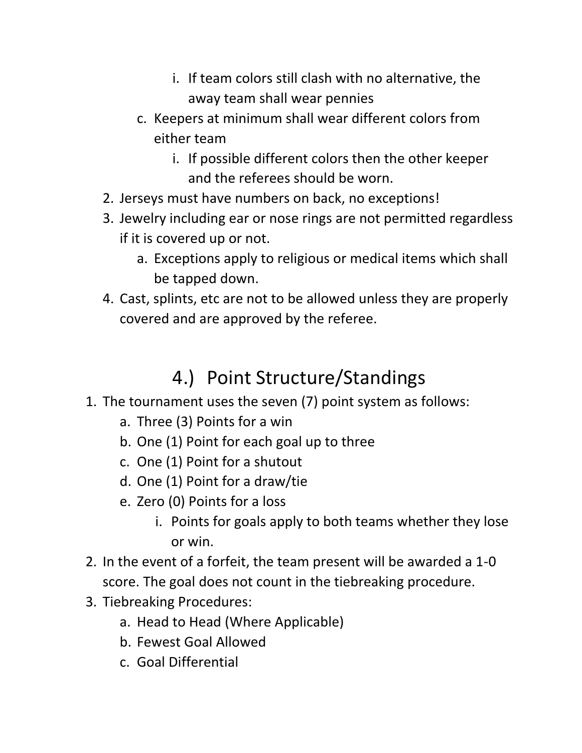- i. If team colors still clash with no alternative, the away team shall wear pennies
- c. Keepers at minimum shall wear different colors from either team
	- i. If possible different colors then the other keeper and the referees should be worn.
- 2. Jerseys must have numbers on back, no exceptions!
- 3. Jewelry including ear or nose rings are not permitted regardless if it is covered up or not.
	- a. Exceptions apply to religious or medical items which shall be tapped down.
- 4. Cast, splints, etc are not to be allowed unless they are properly covered and are approved by the referee.

### 4.) Point Structure/Standings

- 1. The tournament uses the seven (7) point system as follows:
	- a. Three (3) Points for a win
	- b. One (1) Point for each goal up to three
	- c. One (1) Point for a shutout
	- d. One (1) Point for a draw/tie
	- e. Zero (0) Points for a loss
		- i. Points for goals apply to both teams whether they lose or win.
- 2. In the event of a forfeit, the team present will be awarded a 1-0 score. The goal does not count in the tiebreaking procedure.
- 3. Tiebreaking Procedures:
	- a. Head to Head (Where Applicable)
	- b. Fewest Goal Allowed
	- c. Goal Differential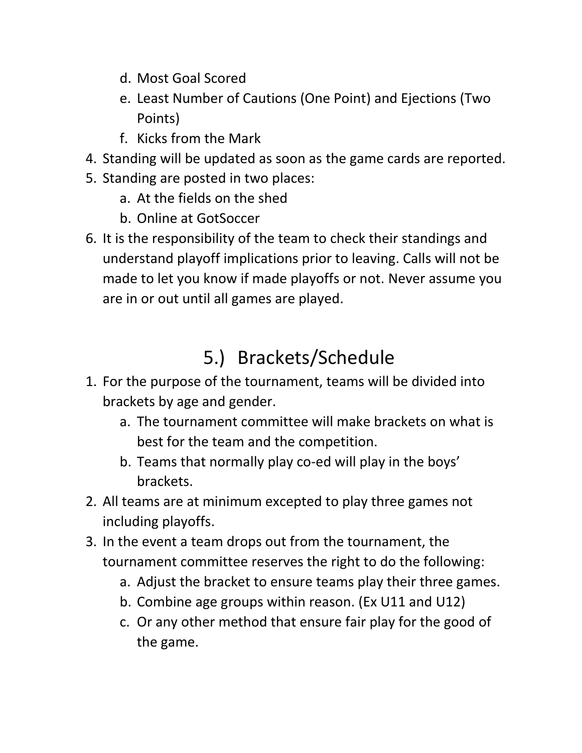- d. Most Goal Scored
- e. Least Number of Cautions (One Point) and Ejections (Two Points)
- f. Kicks from the Mark
- 4. Standing will be updated as soon as the game cards are reported.
- 5. Standing are posted in two places:
	- a. At the fields on the shed
	- b. Online at GotSoccer
- 6. It is the responsibility of the team to check their standings and understand playoff implications prior to leaving. Calls will not be made to let you know if made playoffs or not. Never assume you are in or out until all games are played.

# 5.) Brackets/Schedule

- 1. For the purpose of the tournament, teams will be divided into brackets by age and gender.
	- a. The tournament committee will make brackets on what is best for the team and the competition.
	- b. Teams that normally play co-ed will play in the boys' brackets.
- 2. All teams are at minimum excepted to play three games not including playoffs.
- 3. In the event a team drops out from the tournament, the tournament committee reserves the right to do the following:
	- a. Adjust the bracket to ensure teams play their three games.
	- b. Combine age groups within reason. (Ex U11 and U12)
	- c. Or any other method that ensure fair play for the good of the game.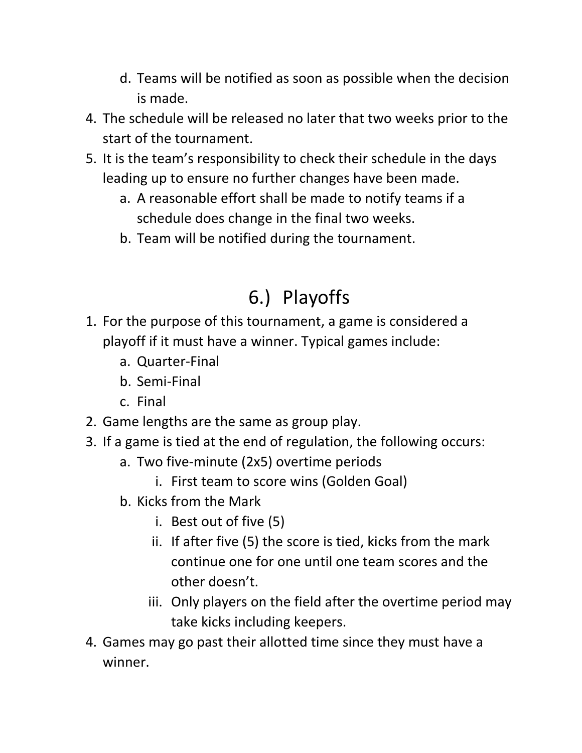- d. Teams will be notified as soon as possible when the decision is made.
- 4. The schedule will be released no later that two weeks prior to the start of the tournament.
- 5. It is the team's responsibility to check their schedule in the days leading up to ensure no further changes have been made.
	- a. A reasonable effort shall be made to notify teams if a schedule does change in the final two weeks.
	- b. Team will be notified during the tournament.

### 6.) Playoffs

- 1. For the purpose of this tournament, a game is considered a playoff if it must have a winner. Typical games include:
	- a. Quarter-Final
	- b. Semi-Final
	- c. Final
- 2. Game lengths are the same as group play.
- 3. If a game is tied at the end of regulation, the following occurs:
	- a. Two five-minute (2x5) overtime periods
		- i. First team to score wins (Golden Goal)
	- b. Kicks from the Mark
		- i. Best out of five (5)
		- ii. If after five (5) the score is tied, kicks from the mark continue one for one until one team scores and the other doesn't.
		- iii. Only players on the field after the overtime period may take kicks including keepers.
- 4. Games may go past their allotted time since they must have a winner.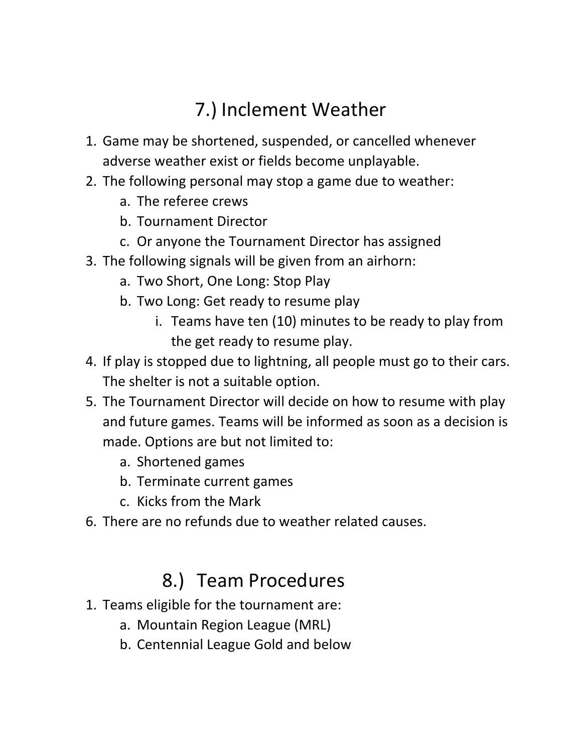### 7.) Inclement Weather

- 1. Game may be shortened, suspended, or cancelled whenever adverse weather exist or fields become unplayable.
- 2. The following personal may stop a game due to weather:
	- a. The referee crews
	- b. Tournament Director
	- c. Or anyone the Tournament Director has assigned
- 3. The following signals will be given from an airhorn:
	- a. Two Short, One Long: Stop Play
	- b. Two Long: Get ready to resume play
		- i. Teams have ten (10) minutes to be ready to play from the get ready to resume play.
- 4. If play is stopped due to lightning, all people must go to their cars. The shelter is not a suitable option.
- 5. The Tournament Director will decide on how to resume with play and future games. Teams will be informed as soon as a decision is made. Options are but not limited to:
	- a. Shortened games
	- b. Terminate current games
	- c. Kicks from the Mark
- 6. There are no refunds due to weather related causes.

#### 8.) Team Procedures

- 1. Teams eligible for the tournament are:
	- a. Mountain Region League (MRL)
	- b. Centennial League Gold and below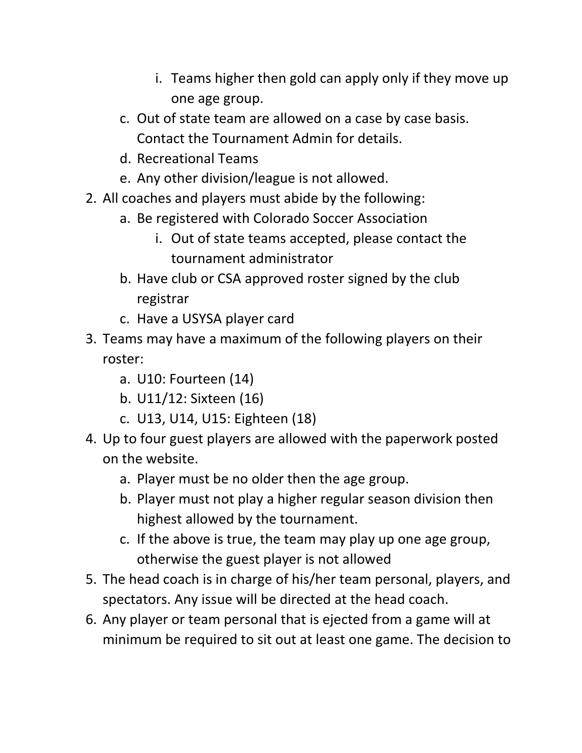- i. Teams higher then gold can apply only if they move up one age group.
- c. Out of state team are allowed on a case by case basis. Contact the Tournament Admin for details.
- d. Recreational Teams
- e. Any other division/league is not allowed.
- 2. All coaches and players must abide by the following:
	- a. Be registered with Colorado Soccer Association
		- i. Out of state teams accepted, please contact the tournament administrator
	- b. Have club or CSA approved roster signed by the club registrar
	- c. Have a USYSA player card
- 3. Teams may have a maximum of the following players on their roster:
	- a. U10: Fourteen (14)
	- b. U11/12: Sixteen (16)
	- c. U13, U14, U15: Eighteen (18)
- 4. Up to four guest players are allowed with the paperwork posted on the website.
	- a. Player must be no older then the age group.
	- b. Player must not play a higher regular season division then highest allowed by the tournament.
	- c. If the above is true, the team may play up one age group, otherwise the guest player is not allowed
- 5. The head coach is in charge of his/her team personal, players, and spectators. Any issue will be directed at the head coach.
- 6. Any player or team personal that is ejected from a game will at minimum be required to sit out at least one game. The decision to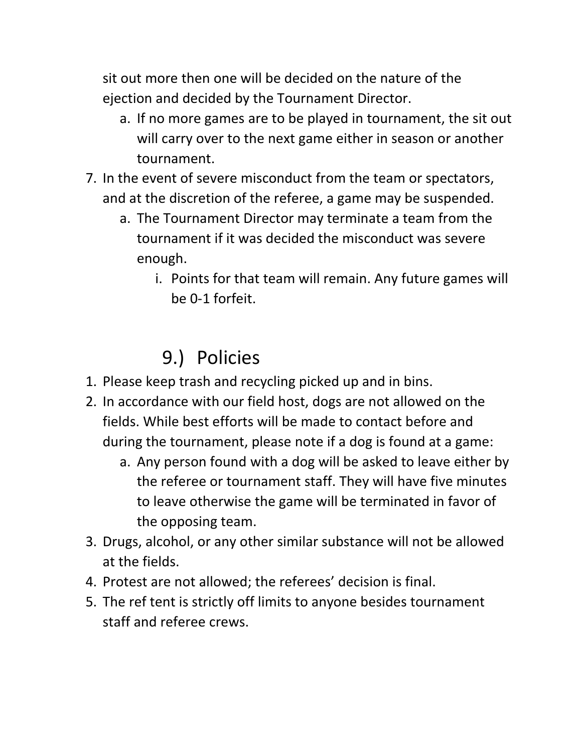sit out more then one will be decided on the nature of the ejection and decided by the Tournament Director.

- a. If no more games are to be played in tournament, the sit out will carry over to the next game either in season or another tournament.
- 7. In the event of severe misconduct from the team or spectators, and at the discretion of the referee, a game may be suspended.
	- a. The Tournament Director may terminate a team from the tournament if it was decided the misconduct was severe enough.
		- i. Points for that team will remain. Any future games will be 0-1 forfeit.

### 9.) Policies

- 1. Please keep trash and recycling picked up and in bins.
- 2. In accordance with our field host, dogs are not allowed on the fields. While best efforts will be made to contact before and during the tournament, please note if a dog is found at a game:
	- a. Any person found with a dog will be asked to leave either by the referee or tournament staff. They will have five minutes to leave otherwise the game will be terminated in favor of the opposing team.
- 3. Drugs, alcohol, or any other similar substance will not be allowed at the fields.
- 4. Protest are not allowed; the referees' decision is final.
- 5. The ref tent is strictly off limits to anyone besides tournament staff and referee crews.